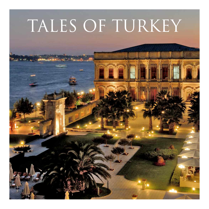# TALES OF TURKEY

**EXAMPLE AND**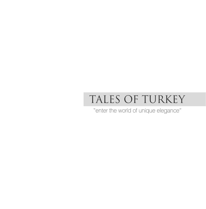## TALES OF TURKEY

"enter the world of unique elegance"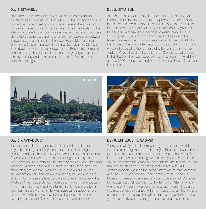#### Day 1: ISTANBUL Day 1: ISTANBUL Day 2: ISTANBUL

Upon arrival in Istanbul Airport you will be welcomed by your private hostess to assist you throughout all the passport and visa procedures. After meeting your private guide at the airport, you will be transferred to your hotel to have some time to relax. In the afternoon you will board your private boat and launch for a cruise along the Bosphorus, which is a narrow, navigable strait between Europe and Asia connecting the Black Sea to Marmara Sea. View grand Ottoman palaces including Dolmabahce, Ciragan, Beylerbeyi and witness the bridges on the Bosphorus combine continents together like pearl necklaces as your guide narrates the city's history and points out its landmarks. Return to your hotel for overnight.

After the breakfast at the hotel, depart for the full day tour of Istanbul. Your first stop will be the Hippodrome where chariot races were held with a capacity of 100000 spectators. Walk to the Blue Mosque famous for its six minarets and magnificent blue tiles from Nicea. Then continue to world famous Hagia Sophia (The Divine Wisdom Church) which has one of the largest domes in the world and was built in 6th century A.D. by the Emperor Justinian. After visiting this breathtaking church you will be introduced to the richness of Ottomans by visiting the Topkapi Palace housing the Sultans for 400 years. Today your last visit will be the oldest covered market place in the world with around 3000 shops, the mind boggling Grand Bazaar. Overnight in your hotel.



Your adventure in Cappadocia continues with a visit to the Kaymakli Underground City, one of the most interesting underground settlements in the area. Another open air museum; Soganli Valley located in wild natural settings near a typical Cappadocian village with its different style rock-cut churches and frescoes. Villages in the valleys, surrounded by the "Table Top" mountains, are spectacular. Next visit is a newly discovered ancient site called Sobessos with mosaics, houses and a big church. You will see the latest excavations here. Continue to the Medrese (Theological School) from Seljuk Turks in Taskinpasa is the witness of an early and rich Turkish settlement in the town. Your tour finishes with a visit to Mustafapasa (Sinasos), an old Greek town with its spectacular Greek houses; a very fine examples of the late Greek settlements and architecture.



#### Day 5: CAPPADOCIA Day 6: EPHESUS (KUSADASI)

Today, you will fly to Izmir from where you will drive to world famous archeological site, ancient city of Ephesus. It was once the most important commercial center of Asia Minor where St. Paul spent three years during his missionary journeys. Visit the council chamber, the temples, the fountains, the Terrace Houses (houses of rich people) and the Great Theater with 24000 seating capacity, walk on the harbor street where mark Anthony and Cleopatra had walked. Then continue to the Ephesus Museum where you can see the artifacts were found. Continue to the Basilica of St. John and to the Temple of Artemis which was one of the seven wonders of the ancient world. If required, you may conclude your tour with the House of Virgin Mary where she spent her last days. You will be transferred to Bodrum where you will embark your private gullet boat for your blue cruise.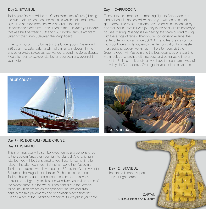Today your first visit will be the Chora Monastery (Church) baring the extraordinary frescoes and mosaics which indicated a new Byzantine art movement that was parallel to the Italian Renaissance started by Giotto. Then to the Suleymaniye Mosque that was built between 1550 and 1557 by the famous architect Sinan for the Sultan Suleyman the Magnificent.

Enter to a mystic world by visiting the Underground Cistern with 336 columns. Later catch a whiff of cinnamon, cloves, thyme and other exotic spices as you wander around the Spice Bazaar. Free afternoon to explore Istanbul on your own and overnight in your hotel.

#### Day 3: ISTANBUL Day 4: CAPPADOCIA

Transfer to the airport for the morning flight to Cappadocia; "the land of beautiful horses" will welcome you with an outstanding geography. The rock formations beyond belief in Devrent Valley and walking in Zelve is like a journey in the past with its troglodyte houses. Visiting Pasabag is like hearing the voice of wind mixing with the songs of fairies. Then you will continue to Avanos, the center of terra cotta art since 3000 B.C. and feel the clay & mud with your fingers while you enjoy the demonstration by a master in a traditional pottery workshop. In the afternoon, visit the Goreme Open Air Museum and the best examples of Byzantine Art in rock-cut churches with frescoes and paintings. Climb on top of the Uchisar rock-castle as you have the panoramic view of the valleys in Cappadocia. Overnight in your unique cave hotel.





#### Day 7 - 10: BODRUM - BLUE CRUISE

#### Day 11: ISTANBUL

This morning, you will disembark your gullet and be transferred to the Bodrum Airport for your flight to Istanbul. After arriving in Istanbul, you will be transferred to your hotel for some time to relax. In the afternoon, your first visit will be to the Museum of Turkish and Islamic Arts. It was built in 1521 by the Grand Vizier to Suleyman the Magnificent, Ibrahim Pasha as his residence. Today it holds a superb collection of ceramics, metalwork, miniatures, calligraphy, textiles and woodwork as well as some of the oldest carpets in the world. Then continue to the Mosaic Museum which preserves exceptionally fine fifth and sixth century mosaic pavements and decoration pieces from the Grand Palace of the Byzantine emperors. Overnight in your hotel.

Day 12: ISTANBUL

Transfer to Istanbul Airport for your flight home.

> **CAFTAN** Turkish & Islamic Art Museum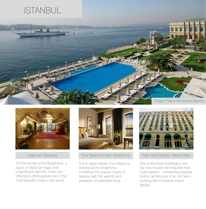





Hotel Les Ottomans

On the shores of the Bosphorus, a place of historical magic and magnificent night life, Hotel Les Ottomans offers guests one of the most beautiful views in the world.



Four Seasons Hotel - Bosphorus

A true urban retreat, Four Seasons Istanbul at the Bosphorus combines the unique culture of Istanbul with the warmth and relaxation of waterside living.



Park Hyatt Istanbul, Macka Palas

One of the finest buildings in the city now houses the exquisite Park Hyatt Istanbul - combining beautiful historic architecture of an Art Deco building with innovative interior design.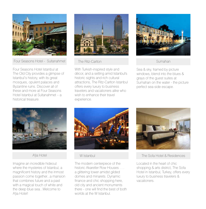

Four Seasons Hotel - Sultanahmet

Four Seasons Hotel Istanbul at The Old City provides a glimpse of Istanbul's history, with its great mosques, opulent palaces and Byzantine ruins. Discover all of these and more at Four Seasons Hotel Istanbul at Sultanahmet – a historical treasure.



The Ritz-Carlton

With Turkish-inspired style and décor, and a setting amid Istanbul's historic sights and rich cultural attractions, The Ritz-Carlton Istanbul offers every luxury to business travelers and vacationers alike who wish to enhance their travel experience.



Sumahan

Sea & sky, framed by picture windows, blend into the blues & grays of the guest suites at Sumahan on the water - the picture perfect sea-side escape.



A'jia Hotel

Imagine an incredible hideout where the mysteries of Istanbul, a magnificent history and the inmost passion come together...a mansion that combines future and a past with a magical touch of white and the deep blue sea...Welcome to A'jia Hotel!



#### W Istanbul

The modern centerpiece of the historic Akaretler Row Houses . . . a glittering tower amidst gilded domes and minarets. Dynamic finance and chic shopping here, old city and ancient monuments there - one will find the best of both worlds at the W Istanbul.



The Sofa Hotel & Residences

Located in the heart of chic shopping & arts district, The Sofa Hotel in Istanbul, Turkey, offers every luxury to business travelers & vacationers.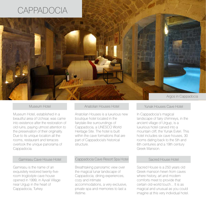## **CAPPADOCIA**



#### Museum Hotel

Museum Hotel, established in a beautiful area of Uchisar, was came into existence after the restoration of old ruins, paying utmost attention to the preservation of their originality. Due to its unique location all the rooms, restaurant and terraces overlook the unique panorama of Cappadocia.

#### Gamirasu Cave House Hotel

Gamirasu is the name of an exquisitely restored twenty-fiveroom troglodyte cave house opened in 1999, in Ayvali Village near Urgup in the heart of Cappadocia, Turkey.

#### Anatolian Houses Hotel

Anatolian Houses is a luxurious new boutique hotel located in the fairytale-like surroundings of Cappadocia, a UNESCO World Heritage Site. The hotel is built within the cave formations that are part of Cappadocia's historical structure.

#### Cappadocia Cave Resort Spa Hotel

Breathtaking panoramic view over the magical lunar landscape of Cappadocia; dining experiences, cozy and intimate accommodations, a very exclusive, private spa and memories to last a lifetime.

#### Yunak Houses Cave Hotel

In Cappadocia's magical landscape of fairy chimneys, in the ancient village of Urgup, is a luxurious hotel carved into a mountain cliff, the Yunak Evleri. This hotel includes six cave houses, 30 rooms dating back to the 5th and 6th centuries and a 19th century Greek Mansion.

#### Sacred House Hotel

Sacred House is a 250 years old Greek mansion hewn from caves where history, art and modern comforts meet to provide that certain old-world touch... It is as magical and unusual as you could imagine at this very individual hotel.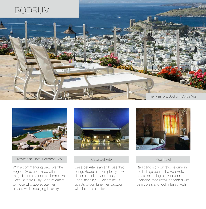



Kempinski Hotel Barbaros Bay

With a commanding view over the Aegean Sea, combined with a magnificent architecture, Kempinksi Hotel Barbaros Bay Bodrum caters to those who appreciate their privacy while indulging in luxury.



#### Casa Dell'Arte

Casa dell'Arte is an art house that brings Bodrum a completely new dimension of art, and luxury understanding... welcoming its guests to combine their vacation with their passion for art.



Ada Hotel

Relax and sip your favorite drink in the lush garden of the Ada Hotel before retreating back to your traditional style room, accented with pale corals and rock infused walls.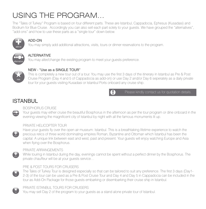### USING THE PROGRAM...

The "Tales of Turkey" Program is based on four different parts. These are Istanbul, Cappadocia, Ephesus (Kusadasi) and Bodrum for Blue Cruise. Accordingly you can also sell each part solely to your guests. We have grouped the "alternatives", "add-ons" and how to use these parts as a "single tour" down below.



#### ADD-ON

You may simply add additional attractions, visits, tours or dinner reservations to the program.



#### **ALTERNATIVE**

You may alter/change the existing program to meet your guests preference.



#### NEW - "Use as a SINGLE TOUR"

This is completely a new tour out of a tour. You may use the first 3 days of the itinerary in Istanbul as Pre & Post Cruise Program (Day 4 and 5 of Cappadocia as add-on) or use Day 2 and/or Day 6 seperately as a daily private tour for your guests visiting Kusadasi or Istanbul Ports onboard any cruise ship.



Please kindly contact us for quotation details.

### ISTANBUL



#### BOSPHORUS CRUISE

Your guests may either cruise the beautiful Bosphorus in the afternoon as per the tour program or dine onboard in the evening viewing the magnificent city of Istanbul by night with all the famous monuments lit up.



#### PRIVATE HELICOPTER TOUR

Have your guests fly over the open air museum: Istanbul. This is a breathtaking lifetime experience to watch the precious relics of three world dominating empires Roman, Byzantine and Ottoman which İstanbul has been the capital. A unique link between east and west, past and present. Your guests will enjoy watching Europe and Asia when flying over the Bosphorus.



#### PRIVATE ARRANGEMENTS

While touring in Istanbul during the day, evenings cannot be spent without a perfect dinner by the Bosphorus. The private chauffeur will be at your guests service…





The Tales of Turkey Tour is designed especially so that can be tailored to suit any preference. The first 3 days (Day1- 2-3) of the tour can be used as a Pre & Post Cruise Tour and Day 4 and Day 5 in Cappadocia can be included in the tour as Add-On Package for those guests embarking or disembarking their cruise ship in Istanbul.



PRIVATE ISTANBUL TOURS FOR CRUISERS

You may sell Day 2 of the program to your quests as a stand alone private tour of Istanbul.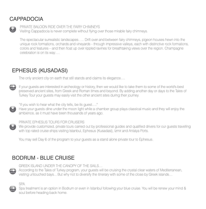### CAPPADOCIA

add-on

PRIVATE BALOON RIDE OVER THE FAIRY CHIMNEYS

Visiting Cappadocia is never complete without flying over those mirable fairy chimneys.

The spectacular surrealistic landscapes….. Drift over and between fairy chimneys, pigeon houses hewn into the unique rock formations, orchards and vineyards - through impressive valleys, each with distinctive rock formations, colors and features – and then float up over rippled ravines for breathtaking views over the region. Champagne celebration is on its way….

#### EPHESUS (KUSADASI)

The only ancient city on earth that still stands and claims its elegance….



If your guests are interested in archeology or history, then we would like to take them to some of the world's best preserved ancient sites, from Greek and Roman times and beyond. By adding another day or days to the Tales of Turkey Tour your guests may easily visit the other ancient sites during their journey.

"If you wish to hear what the city tells, be its guest…."

Have your guests dine under the moon light while a chamber group plays classical music and they will enjoy the ambience, as it must have been thousands of years ago.

#### PRIVATE EPHESUS TOURS FOR CRUISERS

We provide customized, private tours carried out by professional guides and qualified drivers for our quests travelling with top rated cruise ships visiting Istanbul, Ephesus (Kusadasi), Izmir and Antalya Ports.

You may sell Day 6 of the program to your guests as a stand alone private tour to Ephesus.

### BODRUM - BLUE CRUISE

GREEK ISLAND UNDER THE CANOPY OF THE SAILS…

**According to the Tales of Turkey program, your guests will be cruising the crystal clear waters of Mediterranean,** visiting untouched bays... But why not to diversify the itinerary with some of the close by Greek islands…

SPA

Spa treatment is an option in Bodrum or even in Istanbul following your blue cruise. You will be renew your mind & soul before heading back home.